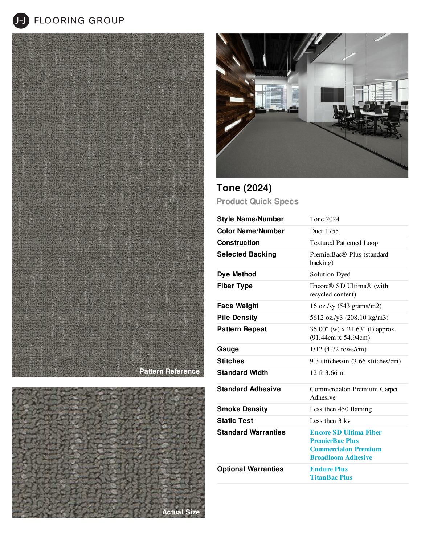**J+J** FLOORING GROUP







## **Tone (2024) Product Quick Specs**

| <b>Style Name/Number</b>   | Tone 2024                                                                                                           |
|----------------------------|---------------------------------------------------------------------------------------------------------------------|
| <b>Color Name/Number</b>   | Duet 1755                                                                                                           |
| Construction               | <b>Textured Patterned Loop</b>                                                                                      |
| <b>Selected Backing</b>    | PremierBac® Plus (standard<br>backing)                                                                              |
| Dye Method                 | <b>Solution Dyed</b>                                                                                                |
| <b>Fiber Type</b>          | Encore <sup>®</sup> SD Ultima <sup>®</sup> (with<br>recycled content)                                               |
| <b>Face Weight</b>         | 16 oz./sy $(543 \text{ grams/m2})$                                                                                  |
| <b>Pile Density</b>        | 5612 oz./y3 (208.10 kg/m3)                                                                                          |
| <b>Pattern Repeat</b>      | 36.00" (w) x 21.63" (l) approx.<br>(91.44cm x 54.94cm)                                                              |
| Gauge                      | $1/12$ (4.72 rows/cm)                                                                                               |
| <b>Stitches</b>            | 9.3 stitches/in (3.66 stitches/cm)                                                                                  |
| <b>Standard Width</b>      | 12 ft $3.66$ m                                                                                                      |
| <b>Standard Adhesive</b>   | Commercialon Premium Carpet<br>Adhesive                                                                             |
| <b>Smoke Density</b>       | Less then 450 flaming                                                                                               |
| <b>Static Test</b>         | Less then 3 kv                                                                                                      |
| <b>Standard Warranties</b> | <b>Encore SD Ultima Fiber</b><br><b>PremierBac Plus</b><br><b>Commercialon Premium</b><br><b>Broadloom Adhesive</b> |
| <b>Optional Warranties</b> | <b>Endure Plus</b><br><b>TitanBac Plus</b>                                                                          |